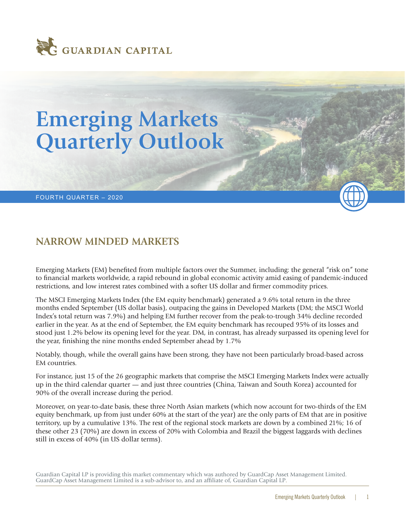

# **Emerging Markets Quarterly Outlook**

#### FOURTH QUARTER – 2020

# **NARROW MINDED MARKETS**

Emerging Markets (EM) benefited from multiple factors over the Summer, including: the general "risk on" tone to financial markets worldwide, a rapid rebound in global economic activity amid easing of pandemic-induced restrictions, and low interest rates combined with a softer US dollar and firmer commodity prices.

The MSCI Emerging Markets Index (the EM equity benchmark) generated a 9.6% total return in the three months ended September (US dollar basis), outpacing the gains in Developed Markets (DM; the MSCI World Index's total return was 7.9%) and helping EM further recover from the peak-to-trough 34% decline recorded earlier in the year. As at the end of September, the EM equity benchmark has recouped 95% of its losses and stood just 1.2% below its opening level for the year. DM, in contrast, has already surpassed its opening level for the year, finishing the nine months ended September ahead by 1.7%

Notably, though, while the overall gains have been strong, they have not been particularly broad-based across EM countries.

For instance, just 15 of the 26 geographic markets that comprise the MSCI Emerging Markets Index were actually up in the third calendar quarter — and just three countries (China, Taiwan and South Korea) accounted for 90% of the overall increase during the period.

Moreover, on year-to-date basis, these three North Asian markets (which now account for two-thirds of the EM equity benchmark, up from just under 60% at the start of the year) are the only parts of EM that are in positive territory, up by a cumulative 13%. The rest of the regional stock markets are down by a combined 21%; 16 of these other 23 (70%) are down in excess of 20% with Colombia and Brazil the biggest laggards with declines still in excess of 40% (in US dollar terms).

Guardian Capital LP is providing this market commentary which was authored by GuardCap Asset Management Limited. GuardCap Asset Management Limited is a sub-advisor to, and an affiliate of, Guardian Capital LP.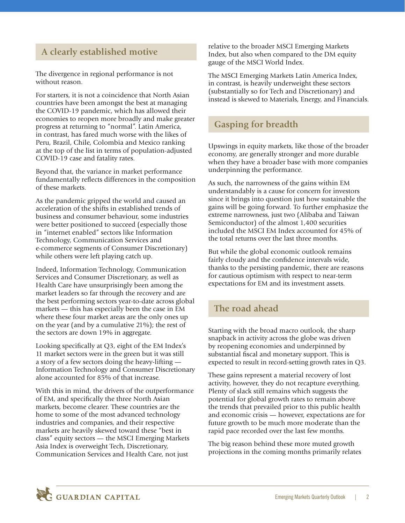# **A clearly established motive**

The divergence in regional performance is not without reason.

For starters, it is not a coincidence that North Asian countries have been amongst the best at managing the COVID-19 pandemic, which has allowed their economies to reopen more broadly and make greater progress at returning to "normal". Latin America, in contrast, has fared much worse with the likes of Peru, Brazil, Chile, Colombia and Mexico ranking at the top of the list in terms of population-adjusted COVID-19 case and fatality rates.

Beyond that, the variance in market performance fundamentally reflects differences in the composition of these markets.

As the pandemic gripped the world and caused an acceleration of the shifts in established trends of business and consumer behaviour, some industries were better positioned to succeed (especially those in "internet enabled" sectors like Information Technology, Communication Services and e-commerce segments of Consumer Discretionary) while others were left playing catch up.

Indeed, Information Technology, Communication Services and Consumer Discretionary, as well as Health Care have unsurprisingly been among the market leaders so far through the recovery and are the best performing sectors year-to-date across global markets — this has especially been the case in EM where these four market areas are the only ones up on the year (and by a cumulative 21%); the rest of the sectors are down 19% in aggregate.

Looking specifically at Q3, eight of the EM Index's 11 market sectors were in the green but it was still a story of a few sectors doing the heavy-lifting — Information Technology and Consumer Discretionary alone accounted for 85% of that increase.

With this in mind, the drivers of the outperformance of EM, and specifically the three North Asian markets, become clearer. These countries are the home to some of the most advanced technology industries and companies, and their respective markets are heavily skewed toward these "best in class" equity sectors — the MSCI Emerging Markets Asia Index is overweight Tech, Discretionary, Communication Services and Health Care, not just

relative to the broader MSCI Emerging Markets Index, but also when compared to the DM equity gauge of the MSCI World Index.

The MSCI Emerging Markets Latin America Index, in contrast, is heavily underweight these sectors (substantially so for Tech and Discretionary) and instead is skewed to Materials, Energy, and Financials.

### **Gasping for breadth**

Upswings in equity markets, like those of the broader economy, are generally stronger and more durable when they have a broader base with more companies underpinning the performance.

As such, the narrowness of the gains within EM understandably is a cause for concern for investors since it brings into question just how sustainable the gains will be going forward. To further emphasize the extreme narrowness, just two (Alibaba and Taiwan Semiconductor) of the almost 1,400 securities included the MSCI EM Index accounted for 45% of the total returns over the last three months.

But while the global economic outlook remains fairly cloudy and the confidence intervals wide, thanks to the persisting pandemic, there are reasons for cautious optimism with respect to near-term expectations for EM and its investment assets.

## **The road ahead**

Starting with the broad macro outlook, the sharp snapback in activity across the globe was driven by reopening economies and underpinned by substantial fiscal and monetary support. This is expected to result in record-setting growth rates in Q3.

These gains represent a material recovery of lost activity, however, they do not recapture everything. Plenty of slack still remains which suggests the potential for global growth rates to remain above the trends that prevailed prior to this public health and economic crisis — however, expectations are for future growth to be much more moderate than the rapid pace recorded over the last few months.

The big reason behind these more muted growth projections in the coming months primarily relates

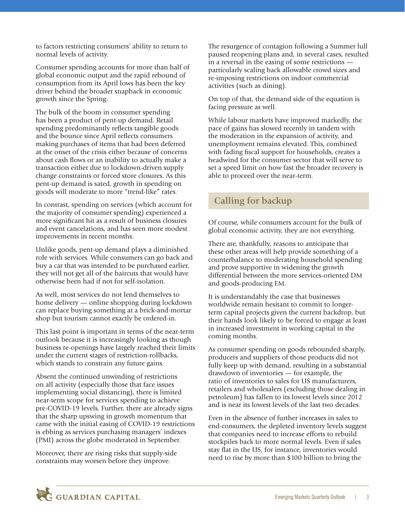to factors restricting consumers' ability to return to normal levels of activity.

Consumer spending accounts for more than half of global economic output and the rapid rebound of consumption from its April lows has been the key driver behind the broader snapback in economic growth since the Spring.

The bulk of the boom in consumer spending has been a product of pent-up demand. Retail spending predominantly reflects tangible goods and the bounce since April reflects consumers making purchases of items that had been deferred at the onset of the crisis either because of concerns about cash flows or an inability to actually make a transaction either due to lockdown-driven supply change constraints or forced store closures. As this pent-up demand is sated, growth in spending on goods will moderate to more "trend-like" rates.

In contrast, spending on services (which account for the majority of consumer spending) experienced a more significant hit as a result of business closures and event cancelations, and has seen more modest improvements in recent months.

Unlike goods, pent-up demand plays a diminished role with services. While consumers can go back and buy a car that was intended to be purchased earlier, they will not get all of the haircuts that would have otherwise been had if not for self-isolation.

As well, most services do not lend themselves to home delivery — online shopping during lockdown can replace buying something at a brick-and-mortar shop but tourism cannot exactly be ordered-in.

This last point is important in terms of the near-term outlook because it is increasingly looking as though business re-openings have largely reached their limits under the current stages of restriction-rollbacks, which stands to constrain any future gains.

Absent the continued unwinding of restrictions on all activity (especially those that face issues implementing social distancing), there is limited near-term scope for services spending to achieve pre-COVID-19 levels. Further, there are already signs that the sharp upswing in growth momentum that came with the initial easing of COVID-19 restrictions is ebbing as services purchasing managers' indexes (PMI) across the globe moderated in September.

Moreover, there are rising risks that supply-side constraints may worsen before they improve.

The resurgence of contagion following a Summer lull paused reopening plans and, in several cases, resulted in a reversal in the easing of some restrictions particularly scaling back allowable crowd sizes and re-imposing restrictions on indoor commercial activities (such as dining).

On top of that, the demand side of the equation is facing pressure as well.

While labour markets have improved markedly, the pace of gains has slowed recently in tandem with the moderation in the expansion of activity, and unemployment remains elevated. This, combined with fading fiscal support for households, creates a headwind for the consumer sector that will serve to set a speed limit on how fast the broader recovery is able to proceed over the near-term.

# **Calling for backup**

Of course, while consumers account for the bulk of global economic activity, they are not everything.

There are, thankfully, reasons to anticipate that these other areas will help provide something of a counterbalance to moderating household spending and prove supportive in widening the growth differential between the more services-oriented DM and goods-producing EM.

It is understandably the case that businesses worldwide remain hesitant to commit to longerterm capital projects given the current backdrop, but their hands look likely to be forced to engage at least in increased investment in working capital in the coming months.

As consumer spending on goods rebounded sharply, producers and suppliers of those products did not fully keep up with demand, resulting in a substantial drawdown of inventories — for example, the ratio of inventories to sales for US manufacturers, retailers and wholesalers (excluding those dealing in petroleum) has fallen to its lowest levels since 2012 and is near its lowest levels of the last two decades.

Even in the absence of further increases in sales to end-consumers, the depleted inventory levels suggest that companies need to increase efforts to rebuild stockpiles back to more normal levels. Even if sales stay flat in the US, for instance, inventories would need to rise by more than \$100 billion to bring the